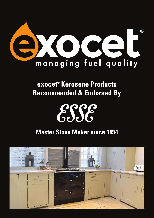

## **exocet® Kerosene Products Recommended & Endorsed By**

## ESSE

## **Master Stove Maker since 1854**